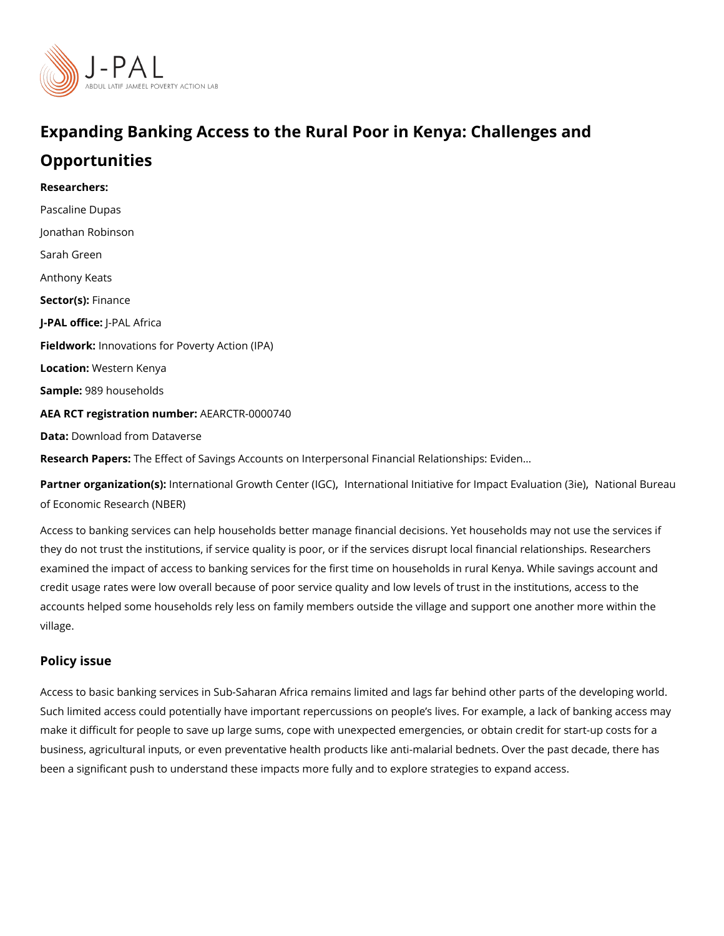## Expanding Banking Access to the Rural Poor in Kenya: Chal Opportunities

Researchers: [Pascaline](https://www.povertyactionlab.org/person/dupas) Dupas [Jonathan Ro](https://www.povertyactionlab.org/person/robinson)binson Sarah Green Anthony Keats Sector(Fsi)nance J-PAL oftJicReAL Africa Fieldworkhovations for Poverty Action (IPA) Locatio W: estern Kenya Sample: 89 households AEA RCT registration ArEuAnRbCeTR-0000740 Data[Download from Da](https://dataverse.harvard.edu/dataset.xhtml?persistentId=doi:10.7910/DVN/WBD2QD)taverse Research PapbesEffect of Savings Accounts on Interpersonal Financial Relationships: Evi

Partner organizatlinotne(rsn)ational Growth C[,](https://www.povertyactionlab.org/partners/international-initiative-impact-evaluation-3ie) dntern(d G 6 n) al Initiative for ImpactN Ei tiaolnualti Bounné Saiue [of Economic Resea](https://www.povertyactionlab.org/partners/national-bureau-economic-research-nber)rch (NBER)

Access to banking services can help households better manage financial decisions. Yet ho they do not trust the institutions, if service quality is poor, or if the services disrupt local examined the impact of access to banking services for the first time on households in rur credit usage rates were low overall because of poor service quality and low levels of trus accounts helped some households rely less on family members outside the village and sup village.

Policy issue

Access to basic banking services in Sub-Saharan Africa remains limited and lags far behi Such limited access could potentially have important repercussions on people s lives. For make it difficult for people to save up large sums, cope with unexpected emergencies, or business, agricultural inputs, or even preventative health products like anti-malarial bedr been a significant push to understand these impacts more fully and to explore strategies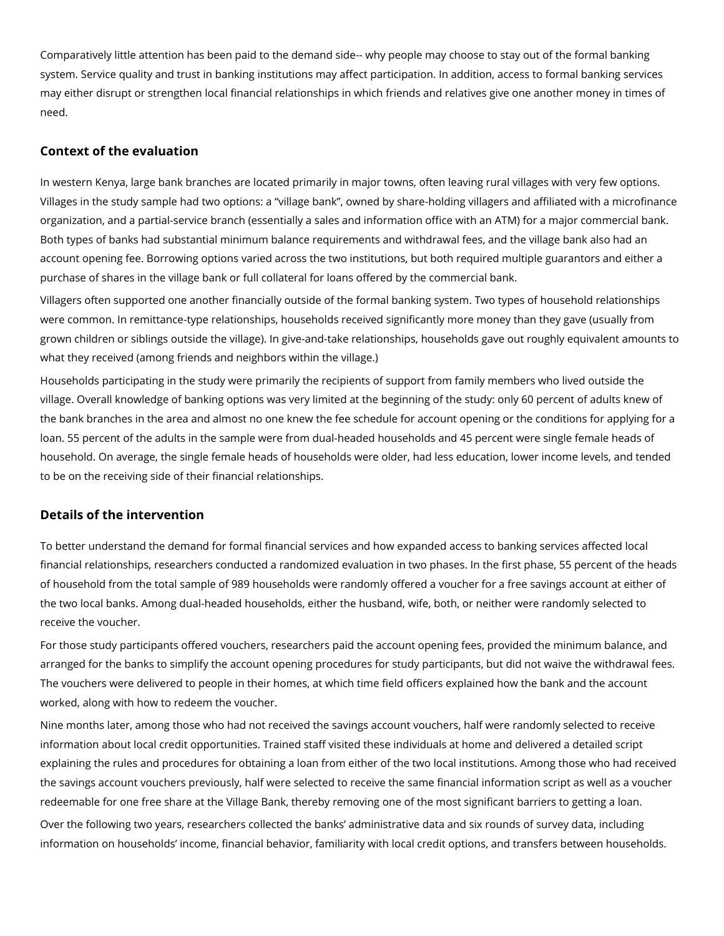Comparatively little attention has been paid to the demand side-- why people may choose to stay out of the formal banking system. Service quality and trust in banking institutions may affect participation. In addition, access to formal banking services may either disrupt or strengthen local financial relationships in which friends and relatives give one another money in times of need.

## **Context of the evaluation**

In western Kenya, large bank branches are located primarily in major towns, often leaving rural villages with very few options. Villages in the study sample had two options: a "village bank", owned by share-holding villagers and affiliated with a microfinance organization, and a partial-service branch (essentially a sales and information office with an ATM) for a major commercial bank. Both types of banks had substantial minimum balance requirements and withdrawal fees, and the village bank also had an account opening fee. Borrowing options varied across the two institutions, but both required multiple guarantors and either a purchase of shares in the village bank or full collateral for loans offered by the commercial bank.

Villagers often supported one another financially outside of the formal banking system. Two types of household relationships were common. In remittance-type relationships, households received significantly more money than they gave (usually from grown children or siblings outside the village). In give-and-take relationships, households gave out roughly equivalent amounts to what they received (among friends and neighbors within the village.)

Households participating in the study were primarily the recipients of support from family members who lived outside the village. Overall knowledge of banking options was very limited at the beginning of the study: only 60 percent of adults knew of the bank branches in the area and almost no one knew the fee schedule for account opening or the conditions for applying for a loan. 55 percent of the adults in the sample were from dual-headed households and 45 percent were single female heads of household. On average, the single female heads of households were older, had less education, lower income levels, and tended to be on the receiving side of their financial relationships.

## **Details of the intervention**

To better understand the demand for formal financial services and how expanded access to banking services affected local financial relationships, researchers conducted a randomized evaluation in two phases. In the first phase, 55 percent of the heads of household from the total sample of 989 households were randomly offered a voucher for a free savings account at either of the two local banks. Among dual-headed households, either the husband, wife, both, or neither were randomly selected to receive the voucher.

For those study participants offered vouchers, researchers paid the account opening fees, provided the minimum balance, and arranged for the banks to simplify the account opening procedures for study participants, but did not waive the withdrawal fees. The vouchers were delivered to people in their homes, at which time field officers explained how the bank and the account worked, along with how to redeem the voucher.

Nine months later, among those who had not received the savings account vouchers, half were randomly selected to receive information about local credit opportunities. Trained staff visited these individuals at home and delivered a detailed script explaining the rules and procedures for obtaining a loan from either of the two local institutions. Among those who had received the savings account vouchers previously, half were selected to receive the same financial information script as well as a voucher redeemable for one free share at the Village Bank, thereby removing one of the most significant barriers to getting a loan. Over the following two years, researchers collected the banks' administrative data and six rounds of survey data, including information on households' income, financial behavior, familiarity with local credit options, and transfers between households.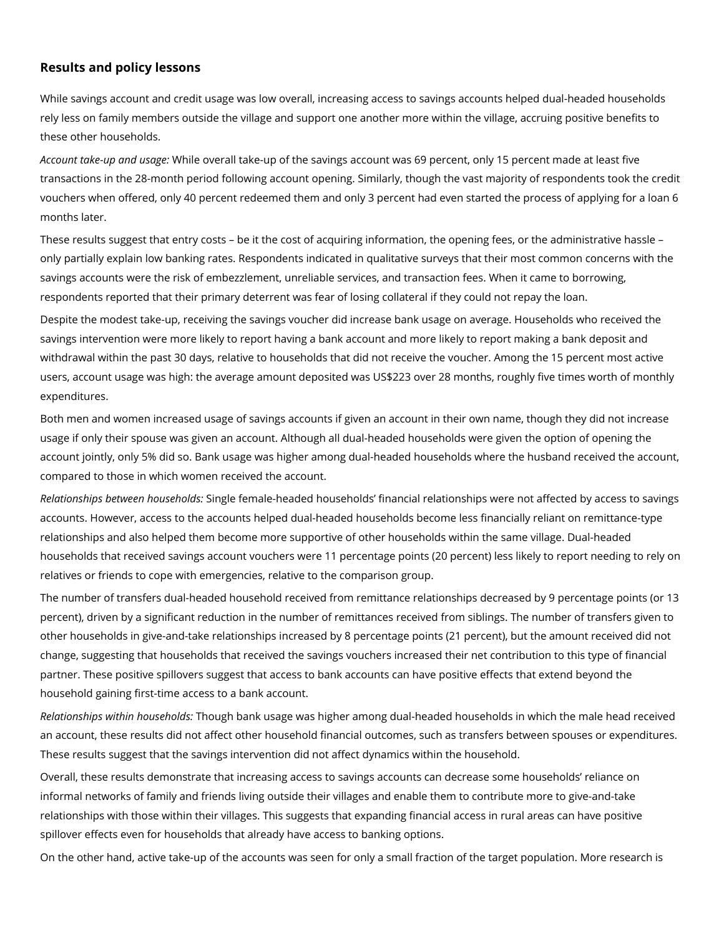## **Results and policy lessons**

While savings account and credit usage was low overall, increasing access to savings accounts helped dual-headed households rely less on family members outside the village and support one another more within the village, accruing positive benefits to these other households.

*Account take-up and usage:* While overall take-up of the savings account was 69 percent, only 15 percent made at least five transactions in the 28-month period following account opening. Similarly, though the vast majority of respondents took the credit vouchers when offered, only 40 percent redeemed them and only 3 percent had even started the process of applying for a loan 6 months later.

These results suggest that entry costs – be it the cost of acquiring information, the opening fees, or the administrative hassle – only partially explain low banking rates. Respondents indicated in qualitative surveys that their most common concerns with the savings accounts were the risk of embezzlement, unreliable services, and transaction fees. When it came to borrowing, respondents reported that their primary deterrent was fear of losing collateral if they could not repay the loan.

Despite the modest take-up, receiving the savings voucher did increase bank usage on average. Households who received the savings intervention were more likely to report having a bank account and more likely to report making a bank deposit and withdrawal within the past 30 days, relative to households that did not receive the voucher. Among the 15 percent most active users, account usage was high: the average amount deposited was US\$223 over 28 months, roughly five times worth of monthly expenditures.

Both men and women increased usage of savings accounts if given an account in their own name, though they did not increase usage if only their spouse was given an account. Although all dual-headed households were given the option of opening the account jointly, only 5% did so. Bank usage was higher among dual-headed households where the husband received the account, compared to those in which women received the account.

*Relationships between households:* Single female-headed households' financial relationships were not affected by access to savings accounts. However, access to the accounts helped dual-headed households become less financially reliant on remittance-type relationships and also helped them become more supportive of other households within the same village. Dual-headed households that received savings account vouchers were 11 percentage points (20 percent) less likely to report needing to rely on relatives or friends to cope with emergencies, relative to the comparison group.

The number of transfers dual-headed household received from remittance relationships decreased by 9 percentage points (or 13 percent), driven by a significant reduction in the number of remittances received from siblings. The number of transfers given to other households in give-and-take relationships increased by 8 percentage points (21 percent), but the amount received did not change, suggesting that households that received the savings vouchers increased their net contribution to this type of financial partner. These positive spillovers suggest that access to bank accounts can have positive effects that extend beyond the household gaining first-time access to a bank account.

*Relationships within households:* Though bank usage was higher among dual-headed households in which the male head received an account, these results did not affect other household financial outcomes, such as transfers between spouses or expenditures. These results suggest that the savings intervention did not affect dynamics within the household.

Overall, these results demonstrate that increasing access to savings accounts can decrease some households' reliance on informal networks of family and friends living outside their villages and enable them to contribute more to give-and-take relationships with those within their villages. This suggests that expanding financial access in rural areas can have positive spillover effects even for households that already have access to banking options.

On the other hand, active take-up of the accounts was seen for only a small fraction of the target population. More research is